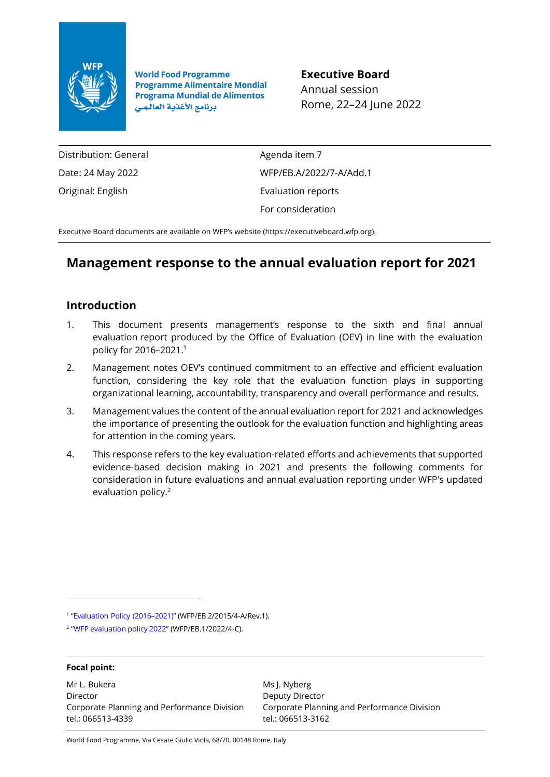

**World Food Programme Programme Alimentaire Mondial Programa Mundial de Alimentos** برنامج الأغذية العالمي

**Executive Board** Annual session Rome, 22–24 June 2022

Distribution: General Date: 24 May 2022 Original: English

Agenda item 7 WFP/EB.A/2022/7-A/Add.1 Evaluation reports For consideration

Executive Board documents are available on WFP's website [\(https://executiveboard.wfp.org\)](https://executiveboard.wfp.org/).

# **Management response to the annual evaluation report for 2021**

# **Introduction**

- 1. This document presents management's response to the sixth and final annual evaluation report produced by the Office of Evaluation (OEV) in line with the evaluation policy for 2016–2021.<sup>1</sup>
- 2. Management notes OEV's continued commitment to an effective and efficient evaluation function, considering the key role that the evaluation function plays in supporting organizational learning, accountability, transparency and overall performance and results.
- 3. Management values the content of the annual evaluation report for 2021 and acknowledges the importance of presenting the outlook for the evaluation function and highlighting areas for attention in the coming years.
- 4. This response refers to the key evaluation-related efforts and achievements that supported evidence-based decision making in 2021 and presents the following comments for consideration in future evaluations and annual evaluation reporting under WFP's updated evaluation policy.<sup>2</sup>

1 "[Evaluation](https://executiveboard.wfp.org/document_download/WFP-0000024368) Policy (2016–2021)" (WFP/EB.2/2015/4-A/Rev.1).

#### **Focal point:**

Mr L. Bukera Director Corporate Planning and Performance Division tel.: 066513-4339

Ms J. Nyberg Deputy Director Corporate Planning and Performance Division tel.: 066513-3162

World Food Programme, Via Cesare Giulio Viola, 68/70, 00148 Rome, Italy

<sup>2</sup> "WFP [evaluation](https://executiveboard.wfp.org/document_download/WFP-0000135899) policy 2022" (WFP/EB.1/2022/4-C).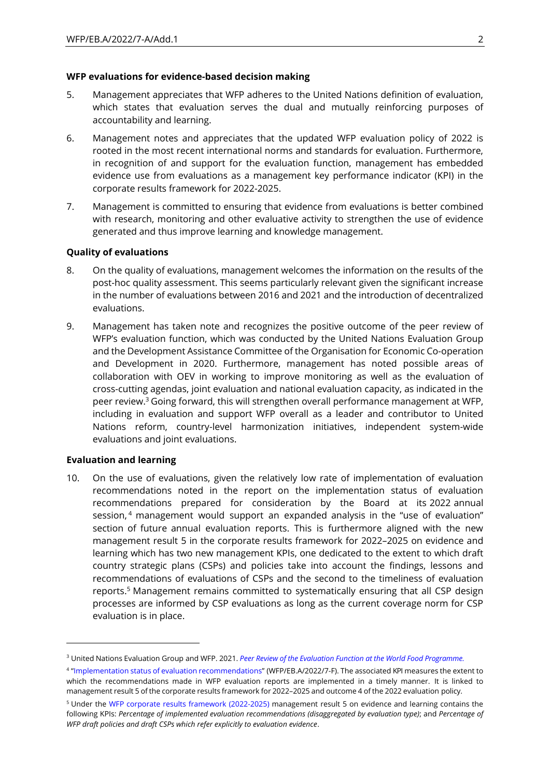#### **WFP evaluations for evidence-based decision making**

- 5. Management appreciates that WFP adheres to the United Nations definition of evaluation, which states that evaluation serves the dual and mutually reinforcing purposes of accountability and learning.
- 6. Management notes and appreciates that the updated WFP evaluation policy of 2022 is rooted in the most recent international norms and standards for evaluation. Furthermore, in recognition of and support for the evaluation function, management has embedded evidence use from evaluations as a management key performance indicator (KPI) in the corporate results framework for 2022-2025.
- 7. Management is committed to ensuring that evidence from evaluations is better combined with research, monitoring and other evaluative activity to strengthen the use of evidence generated and thus improve learning and knowledge management.

## **Quality of evaluations**

- 8. On the quality of evaluations, management welcomes the information on the results of the post-hoc quality assessment. This seems particularly relevant given the significant increase in the number of evaluations between 2016 and 2021 and the introduction of decentralized evaluations.
- 9. Management has taken note and recognizes the positive outcome of the peer review of WFP's evaluation function, which was conducted by the United Nations Evaluation Group and the Development Assistance Committee of the Organisation for Economic Co-operation and Development in 2020. Furthermore, management has noted possible areas of collaboration with OEV in working to improve monitoring as well as the evaluation of cross-cutting agendas, joint evaluation and national evaluation capacity, as indicated in the peer review. <sup>3</sup> Going forward, this will strengthen overall performance management at WFP, including in evaluation and support WFP overall as a leader and contributor to United Nations reform, country-level harmonization initiatives, independent system-wide evaluations and joint evaluations.

## **Evaluation and learning**

10. On the use of evaluations, given the relatively low rate of implementation of evaluation recommendations noted in the report on the implementation status of evaluation recommendations prepared for consideration by the Board at its 2022 annual session, <sup>4</sup> management would support an expanded analysis in the "use of evaluation" section of future annual evaluation reports. This is furthermore aligned with the new management result 5 in the corporate results framework for 2022–2025 on evidence and learning which has two new management KPIs, one dedicated to the extent to which draft country strategic plans (CSPs) and policies take into account the findings, lessons and recommendations of evaluations of CSPs and the second to the timeliness of evaluation reports. <sup>5</sup> Management remains committed to systematically ensuring that all CSP design processes are informed by CSP evaluations as long as the current coverage norm for CSP evaluation is in place.

<sup>3</sup> United Nations Evaluation Group and WFP. 2021. *Peer Review of the Evaluation Function at the World Food [Programme.](https://docs.wfp.org/api/documents/WFP-0000128175/download/)*

<sup>4</sup> "Implementation status of evaluation [recommendations](https://executiveboard.wfp.org/document_download/WFP-0000138990)" (WFP/EB.A/2022/7-F). The associated KPI measures the extent to which the recommendations made in WFP evaluation reports are implemented in a timely manner. It is linked to management result 5 of the corporate results framework for 2022–2025 and outcome 4 of the 2022 evaluation policy.

<sup>5</sup> Under the [WFP corporate results framework](https://executiveboard.wfp.org/document_download/WFP-0000135897) (2022-2025) management result 5 on evidence and learning contains the following KPIs: *Percentage of implemented evaluation recommendations (disaggregated by evaluation type)*; and *Percentage of WFP draft policies and draft CSPs which refer explicitly to evaluation evidence*.